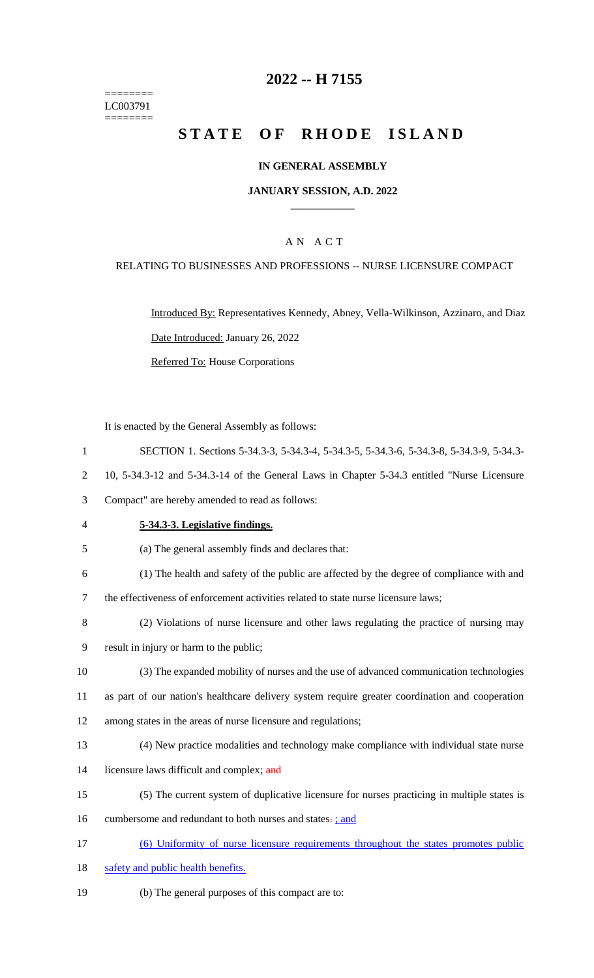======== LC003791 ========

## **2022 -- H 7155**

# **STATE OF RHODE ISLAND**

### **IN GENERAL ASSEMBLY**

### **JANUARY SESSION, A.D. 2022 \_\_\_\_\_\_\_\_\_\_\_\_**

### A N A C T

### RELATING TO BUSINESSES AND PROFESSIONS -- NURSE LICENSURE COMPACT

Introduced By: Representatives Kennedy, Abney, Vella-Wilkinson, Azzinaro, and Diaz Date Introduced: January 26, 2022 Referred To: House Corporations

It is enacted by the General Assembly as follows:

- 1 SECTION 1. Sections 5-34.3-3, 5-34.3-4, 5-34.3-5, 5-34.3-6, 5-34.3-8, 5-34.3-9, 5-34.3-
- 2 10, 5-34.3-12 and 5-34.3-14 of the General Laws in Chapter 5-34.3 entitled "Nurse Licensure

3 Compact" are hereby amended to read as follows:

- 4 **5-34.3-3. Legislative findings.**
- 5 (a) The general assembly finds and declares that:
- 6 (1) The health and safety of the public are affected by the degree of compliance with and

7 the effectiveness of enforcement activities related to state nurse licensure laws;

- 8 (2) Violations of nurse licensure and other laws regulating the practice of nursing may
- 9 result in injury or harm to the public;
- 10 (3) The expanded mobility of nurses and the use of advanced communication technologies 11 as part of our nation's healthcare delivery system require greater coordination and cooperation
- 12 among states in the areas of nurse licensure and regulations;
- 13 (4) New practice modalities and technology make compliance with individual state nurse
- 14 licensure laws difficult and complex; and
- 15 (5) The current system of duplicative licensure for nurses practicing in multiple states is
- 16 cumbersome and redundant to both nurses and states.; and
- 17 (6) Uniformity of nurse licensure requirements throughout the states promotes public
- 18 safety and public health benefits.
- 19 (b) The general purposes of this compact are to: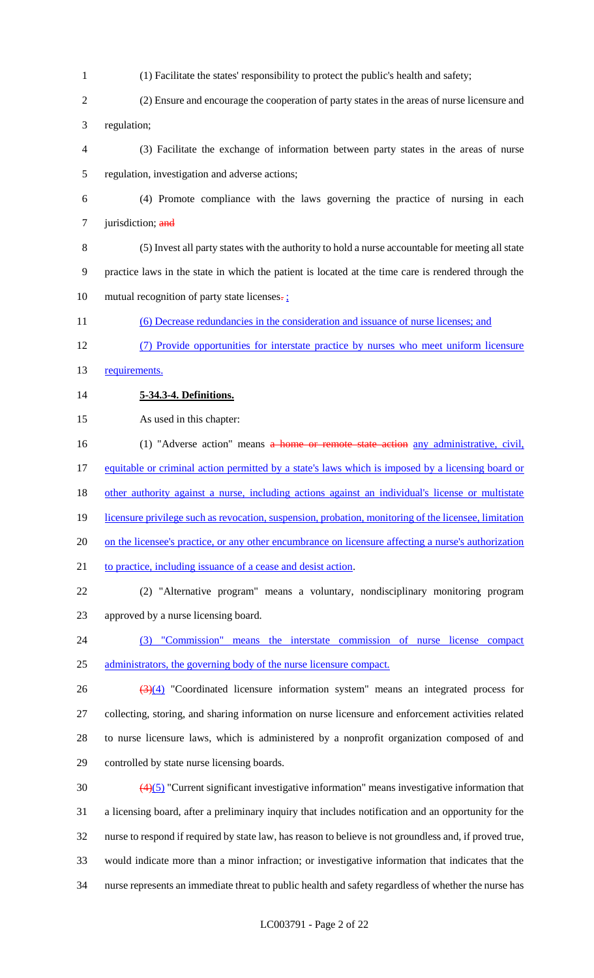- (1) Facilitate the states' responsibility to protect the public's health and safety;
- (2) Ensure and encourage the cooperation of party states in the areas of nurse licensure and regulation;
- (3) Facilitate the exchange of information between party states in the areas of nurse regulation, investigation and adverse actions;
- (4) Promote compliance with the laws governing the practice of nursing in each 7 jurisdiction; and
- (5) Invest all party states with the authority to hold a nurse accountable for meeting all state practice laws in the state in which the patient is located at the time care is rendered through the 10 mutual recognition of party state licenses.
- (6) Decrease redundancies in the consideration and issuance of nurse licenses; and
- (7) Provide opportunities for interstate practice by nurses who meet uniform licensure
- 13 requirements.
- **5-34.3-4. Definitions.**
- As used in this chapter:
- 16 (1) "Adverse action" means a home or remote state action any administrative, civil, 17 equitable or criminal action permitted by a state's laws which is imposed by a licensing board or 18 other authority against a nurse, including actions against an individual's license or multistate 19 licensure privilege such as revocation, suspension, probation, monitoring of the licensee, limitation 20 on the licensee's practice, or any other encumbrance on licensure affecting a nurse's authorization to practice, including issuance of a cease and desist action. (2) "Alternative program" means a voluntary, nondisciplinary monitoring program
- approved by a nurse licensing board.
- (3) "Commission" means the interstate commission of nurse license compact administrators, the governing body of the nurse licensure compact.
- $\frac{(3)(4)}{26}$  "Coordinated licensure information system" means an integrated process for collecting, storing, and sharing information on nurse licensure and enforcement activities related to nurse licensure laws, which is administered by a nonprofit organization composed of and controlled by state nurse licensing boards.
- (4)(5) "Current significant investigative information" means investigative information that a licensing board, after a preliminary inquiry that includes notification and an opportunity for the nurse to respond if required by state law, has reason to believe is not groundless and, if proved true, would indicate more than a minor infraction; or investigative information that indicates that the nurse represents an immediate threat to public health and safety regardless of whether the nurse has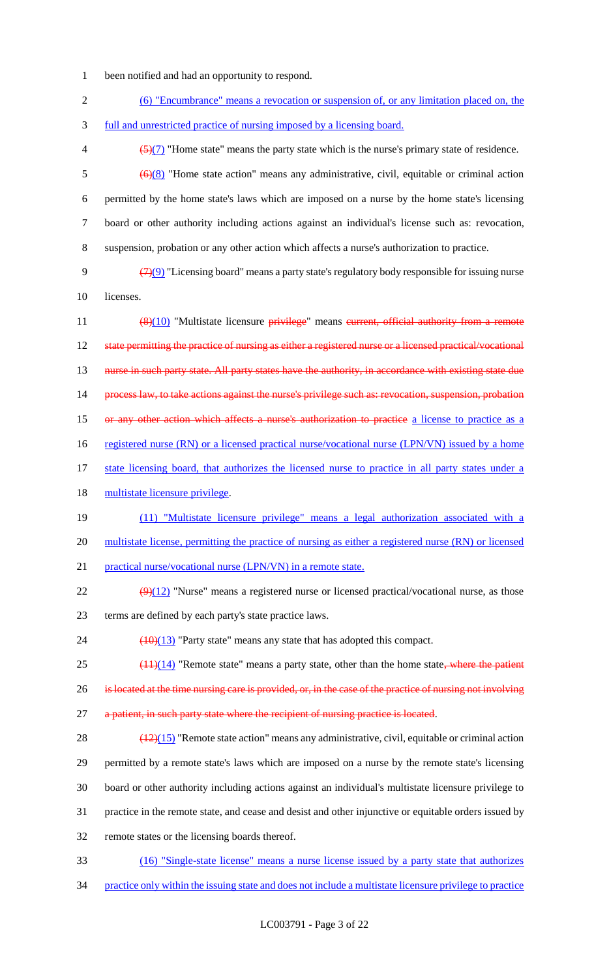- 1 been notified and had an opportunity to respond.
- 2 (6) "Encumbrance" means a revocation or suspension of, or any limitation placed on, the 3 full and unrestricted practice of nursing imposed by a licensing board.  $\left(5\right)(7)$  "Home state" means the party state which is the nurse's primary state of residence.  $\frac{(6)(8)}{8}$  "Home state action" means any administrative, civil, equitable or criminal action 6 permitted by the home state's laws which are imposed on a nurse by the home state's licensing 7 board or other authority including actions against an individual's license such as: revocation, 8 suspension, probation or any other action which affects a nurse's authorization to practice. 9  $(7)(9)$  "Licensing board" means a party state's regulatory body responsible for issuing nurse 10 licenses. 11 (8)(10) "Multistate licensure privilege" means eurrent, official authority from a remote 12 state permitting the practice of nursing as either a registered nurse or a licensed practical/vocational 13 nurse in such party state. All party states have the authority, in accordance with existing state due 14 process law, to take actions against the nurse's privilege such as: revocation, suspension, probation 15 or any other action which affects a nurse's authorization to practice a license to practice as a 16 registered nurse (RN) or a licensed practical nurse/vocational nurse (LPN/VN) issued by a home 17 state licensing board, that authorizes the licensed nurse to practice in all party states under a 18 multistate licensure privilege. 19 (11) "Multistate licensure privilege" means a legal authorization associated with a 20 multistate license, permitting the practice of nursing as either a registered nurse (RN) or licensed 21 practical nurse/vocational nurse (LPN/VN) in a remote state.  $\frac{(9)(12)}{2}$  "Nurse" means a registered nurse or licensed practical/vocational nurse, as those 23 terms are defined by each party's state practice laws. 24  $\left(\frac{(10)(13)}{2}\right)$  "Party state" means any state that has adopted this compact.  $25$  ( $11$ )(14) "Remote state" means a party state, other than the home state, where the patient 26 is located at the time nursing care is provided, or, in the case of the practice of nursing not involving 27 a patient, in such party state where the recipient of nursing practice is located. 28  $\left(\frac{(12)(15)}{2}\right)$  "Remote state action" means any administrative, civil, equitable or criminal action 29 permitted by a remote state's laws which are imposed on a nurse by the remote state's licensing 30 board or other authority including actions against an individual's multistate licensure privilege to 31 practice in the remote state, and cease and desist and other injunctive or equitable orders issued by 32 remote states or the licensing boards thereof. 33 (16) "Single-state license" means a nurse license issued by a party state that authorizes
- 34 practice only within the issuing state and does not include a multistate licensure privilege to practice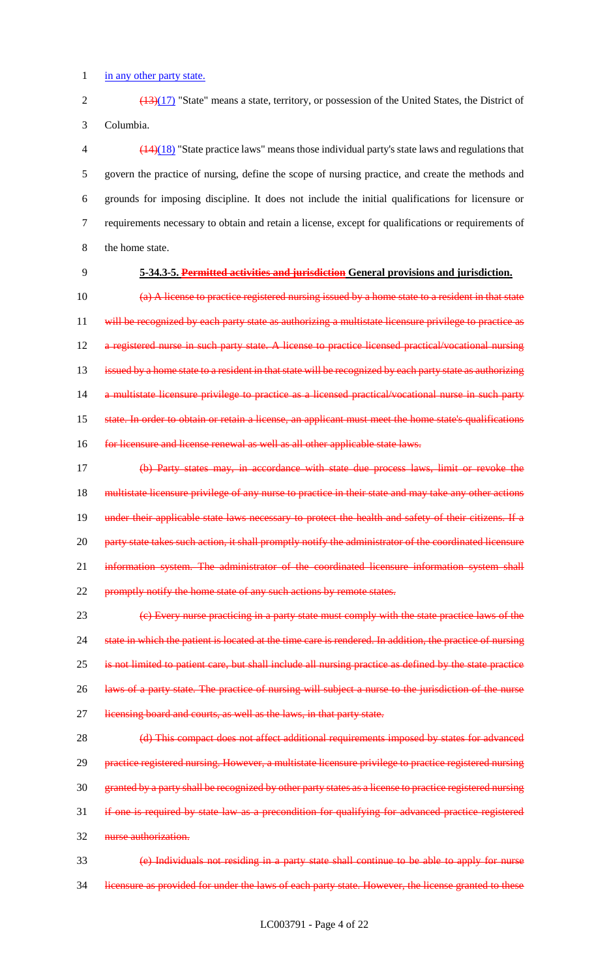1 in any other party state.

2 (13)(17) "State" means a state, territory, or possession of the United States, the District of 3 Columbia.

 (14)(18) "State practice laws" means those individual party's state laws and regulations that govern the practice of nursing, define the scope of nursing practice, and create the methods and grounds for imposing discipline. It does not include the initial qualifications for licensure or requirements necessary to obtain and retain a license, except for qualifications or requirements of 8 the home state.

## 9 **5-34.3-5. Permitted activities and jurisdiction General provisions and jurisdiction.**

10 (a) A license to practice registered nursing issued by a home state to a resident in that state 11 will be recognized by each party state as authorizing a multistate licensure privilege to practice as 12 a registered nurse in such party state. A license to practice licensed practical/vocational nursing 13 issued by a home state to a resident in that state will be recognized by each party state as authorizing 14 a multistate licensure privilege to practice as a licensed practical/vocational nurse in such party 15 state. In order to obtain or retain a license, an applicant must meet the home state's qualifications 16 for licensure and license renewal as well as all other applicable state laws.

17 (b) Party states may, in accordance with state due process laws, limit or revoke the 18 multistate licensure privilege of any nurse to practice in their state and may take any other actions 19 under their applicable state laws necessary to protect the health and safety of their citizens. If a 20 party state takes such action, it shall promptly notify the administrator of the coordinated licensure 21 information system. The administrator of the coordinated licensure information system shall 22 promptly notify the home state of any such actions by remote states.

23 (c) Every nurse practicing in a party state must comply with the state practice laws of the 24 state in which the patient is located at the time care is rendered. In addition, the practice of nursing 25 is not limited to patient care, but shall include all nursing practice as defined by the state practice 26 laws of a party state. The practice of nursing will subject a nurse to the jurisdiction of the nurse 27 licensing board and courts, as well as the laws, in that party state.

28 (d) This compact does not affect additional requirements imposed by states for advanced 29 practice registered nursing. However, a multistate licensure privilege to practice registered nursing 30 granted by a party shall be recognized by other party states as a license to practice registered nursing 31 if one is required by state law as a precondition for qualifying for advanced practice registered 32 nurse authorization.

33 (e) Individuals not residing in a party state shall continue to be able to apply for nurse 34 licensure as provided for under the laws of each party state. However, the license granted to these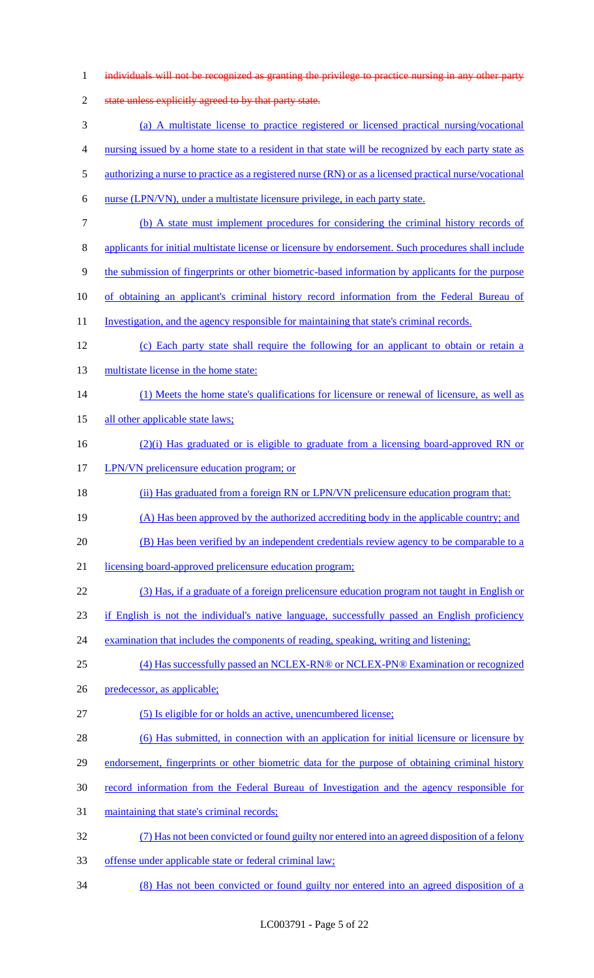| $\mathbf{1}$   | individuals will not be recognized as granting the privilege to practice nursing in any other party    |
|----------------|--------------------------------------------------------------------------------------------------------|
| $\overline{2}$ | state unless explicitly agreed to by that party state.                                                 |
| 3              | (a) A multistate license to practice registered or licensed practical nursing/vocational               |
| 4              | nursing issued by a home state to a resident in that state will be recognized by each party state as   |
| 5              | authorizing a nurse to practice as a registered nurse (RN) or as a licensed practical nurse/vocational |
| 6              | nurse (LPN/VN), under a multistate licensure privilege, in each party state.                           |
| 7              | (b) A state must implement procedures for considering the criminal history records of                  |
| 8              | applicants for initial multistate license or licensure by endorsement. Such procedures shall include   |
| 9              | the submission of fingerprints or other biometric-based information by applicants for the purpose      |
| 10             | of obtaining an applicant's criminal history record information from the Federal Bureau of             |
| 11             | <u>Investigation, and the agency responsible for maintaining that state's criminal records.</u>        |
| 12             | (c) Each party state shall require the following for an applicant to obtain or retain a                |
| 13             | multistate license in the home state:                                                                  |
| 14             | (1) Meets the home state's qualifications for licensure or renewal of licensure, as well as            |
| 15             | all other applicable state laws;                                                                       |
| 16             | $(2)(i)$ Has graduated or is eligible to graduate from a licensing board-approved RN or                |
| 17             | LPN/VN prelicensure education program; or                                                              |
| 18             | (ii) Has graduated from a foreign RN or LPN/VN prelicensure education program that:                    |
| 19             | (A) Has been approved by the authorized accrediting body in the applicable country; and                |
| 20             | (B) Has been verified by an independent credentials review agency to be comparable to a                |
| 21             | licensing board-approved prelicensure education program;                                               |
| 22             | (3) Has, if a graduate of a foreign prelicensure education program not taught in English or            |
| 23             | if English is not the individual's native language, successfully passed an English proficiency         |
| 24             | examination that includes the components of reading, speaking, writing and listening;                  |
| 25             | (4) Has successfully passed an NCLEX-RN® or NCLEX-PN® Examination or recognized                        |
| 26             | predecessor, as applicable;                                                                            |
| 27             | (5) Is eligible for or holds an active, unencumbered license;                                          |
| 28             | (6) Has submitted, in connection with an application for initial licensure or licensure by             |
| 29             | endorsement, fingerprints or other biometric data for the purpose of obtaining criminal history        |
| 30             | record information from the Federal Bureau of Investigation and the agency responsible for             |
| 31             | maintaining that state's criminal records;                                                             |
| 32             | (7) Has not been convicted or found guilty nor entered into an agreed disposition of a felony          |
| 33             | offense under applicable state or federal criminal law;                                                |
| 34             | (8) Has not been convicted or found guilty nor entered into an agreed disposition of a                 |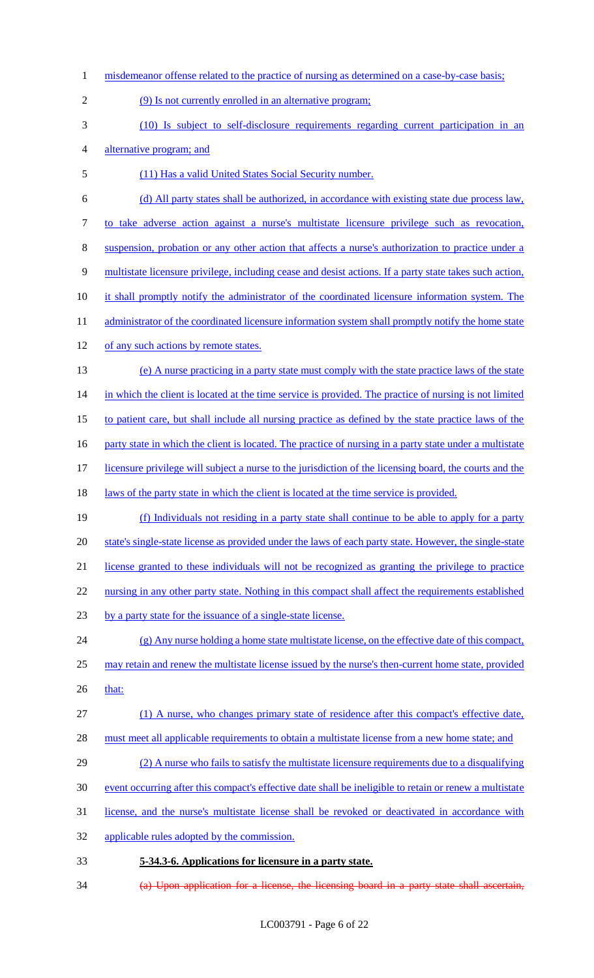1 misdemeanor offense related to the practice of nursing as determined on a case-by-case basis; (9) Is not currently enrolled in an alternative program; (10) Is subject to self-disclosure requirements regarding current participation in an alternative program; and (11) Has a valid United States Social Security number. (d) All party states shall be authorized, in accordance with existing state due process law, to take adverse action against a nurse's multistate licensure privilege such as revocation, suspension, probation or any other action that affects a nurse's authorization to practice under a multistate licensure privilege, including cease and desist actions. If a party state takes such action, 10 it shall promptly notify the administrator of the coordinated licensure information system. The 11 administrator of the coordinated licensure information system shall promptly notify the home state 12 of any such actions by remote states. (e) A nurse practicing in a party state must comply with the state practice laws of the state 14 in which the client is located at the time service is provided. The practice of nursing is not limited to patient care, but shall include all nursing practice as defined by the state practice laws of the 16 party state in which the client is located. The practice of nursing in a party state under a multistate 17 licensure privilege will subject a nurse to the jurisdiction of the licensing board, the courts and the 18 laws of the party state in which the client is located at the time service is provided. (f) Individuals not residing in a party state shall continue to be able to apply for a party 20 state's single-state license as provided under the laws of each party state. However, the single-state license granted to these individuals will not be recognized as granting the privilege to practice 22 nursing in any other party state. Nothing in this compact shall affect the requirements established 23 by a party state for the issuance of a single-state license. (g) Any nurse holding a home state multistate license, on the effective date of this compact, may retain and renew the multistate license issued by the nurse's then-current home state, provided 26 that: (1) A nurse, who changes primary state of residence after this compact's effective date, 28 must meet all applicable requirements to obtain a multistate license from a new home state; and (2) A nurse who fails to satisfy the multistate licensure requirements due to a disqualifying event occurring after this compact's effective date shall be ineligible to retain or renew a multistate license, and the nurse's multistate license shall be revoked or deactivated in accordance with applicable rules adopted by the commission. **5-34.3-6. Applications for licensure in a party state.** (a) Upon application for a license, the licensing board in a party state shall ascertain,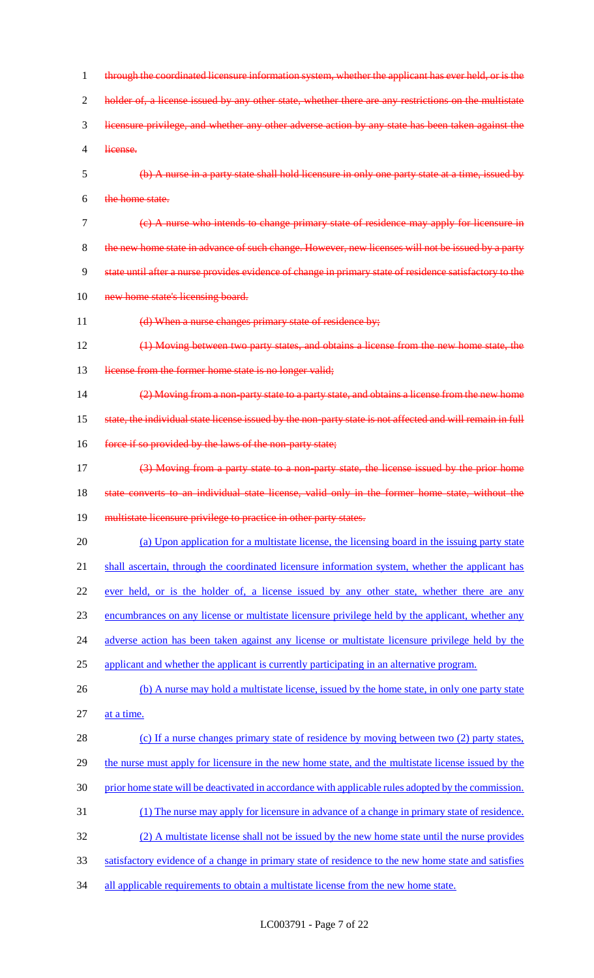1 through the coordinated licensure information system, whether the applicant has ever held, or is the 2 holder of, a license issued by any other state, whether there are any restrictions on the multistate 3 licensure privilege, and whether any other adverse action by any state has been taken against the 4 license. 5 (b) A nurse in a party state shall hold licensure in only one party state at a time, issued by 6 the home state. 7 (c) A nurse who intends to change primary state of residence may apply for licensure in 8 the new home state in advance of such change. However, new licenses will not be issued by a party 9 state until after a nurse provides evidence of change in primary state of residence satisfactory to the 10 new home state's licensing board. 11 (d) When a nurse changes primary state of residence by; 12 (1) Moving between two party states, and obtains a license from the new home state, the 13 license from the former home state is no longer valid; 14 (2) Moving from a non-party state to a party state, and obtains a license from the new home 15 state, the individual state license issued by the non-party state is not affected and will remain in full 16 force if so provided by the laws of the non-party state; 17 (3) Moving from a party state to a non-party state, the license issued by the prior home 18 state converts to an individual state license, valid only in the former home state, without the 19 multistate licensure privilege to practice in other party states. 20 (a) Upon application for a multistate license, the licensing board in the issuing party state 21 shall ascertain, through the coordinated licensure information system, whether the applicant has 22 ever held, or is the holder of, a license issued by any other state, whether there are any 23 encumbrances on any license or multistate licensure privilege held by the applicant, whether any 24 adverse action has been taken against any license or multistate licensure privilege held by the 25 applicant and whether the applicant is currently participating in an alternative program. 26 (b) A nurse may hold a multistate license, issued by the home state, in only one party state 27 at a time. 28 (c) If a nurse changes primary state of residence by moving between two (2) party states, 29 the nurse must apply for licensure in the new home state, and the multistate license issued by the 30 prior home state will be deactivated in accordance with applicable rules adopted by the commission. 31 (1) The nurse may apply for licensure in advance of a change in primary state of residence. 32 (2) A multistate license shall not be issued by the new home state until the nurse provides 33 satisfactory evidence of a change in primary state of residence to the new home state and satisfies 34 all applicable requirements to obtain a multistate license from the new home state.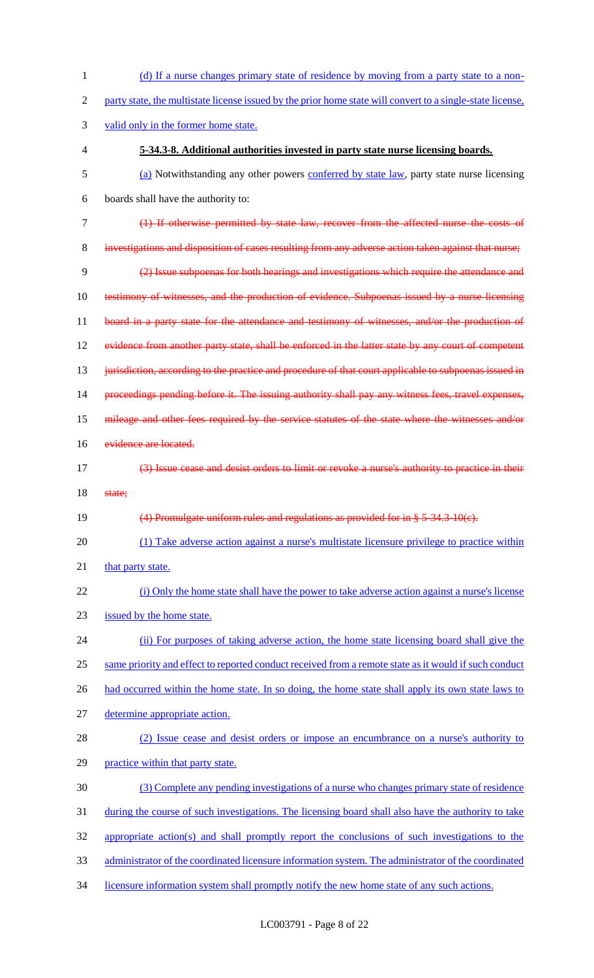1 (d) If a nurse changes primary state of residence by moving from a party state to a non- party state, the multistate license issued by the prior home state will convert to a single-state license, valid only in the former home state. **5-34.3-8. Additional authorities invested in party state nurse licensing boards.** (a) Notwithstanding any other powers conferred by state law, party state nurse licensing boards shall have the authority to: (1) If otherwise permitted by state law, recover from the affected nurse the costs of investigations and disposition of cases resulting from any adverse action taken against that nurse; (2) Issue subpoenas for both hearings and investigations which require the attendance and testimony of witnesses, and the production of evidence. Subpoenas issued by a nurse licensing 11 board in a party state for the attendance and testimony of witnesses, and/or the production of evidence from another party state, shall be enforced in the latter state by any court of competent 13 jurisdiction, according to the practice and procedure of that court applicable to subpoenas issued in proceedings pending before it. The issuing authority shall pay any witness fees, travel expenses, 15 mileage and other fees required by the service statutes of the state where the witnesses and/or 16 evidence are located. (3) Issue cease and desist orders to limit or revoke a nurse's authority to practice in their 18 state; (4) Promulgate uniform rules and regulations as provided for in § 5-34.3-10(c). (1) Take adverse action against a nurse's multistate licensure privilege to practice within 21 that party state. (i) Only the home state shall have the power to take adverse action against a nurse's license 23 issued by the home state. (ii) For purposes of taking adverse action, the home state licensing board shall give the same priority and effect to reported conduct received from a remote state as it would if such conduct 26 had occurred within the home state. In so doing, the home state shall apply its own state laws to determine appropriate action. (2) Issue cease and desist orders or impose an encumbrance on a nurse's authority to practice within that party state. (3) Complete any pending investigations of a nurse who changes primary state of residence during the course of such investigations. The licensing board shall also have the authority to take appropriate action(s) and shall promptly report the conclusions of such investigations to the administrator of the coordinated licensure information system. The administrator of the coordinated licensure information system shall promptly notify the new home state of any such actions.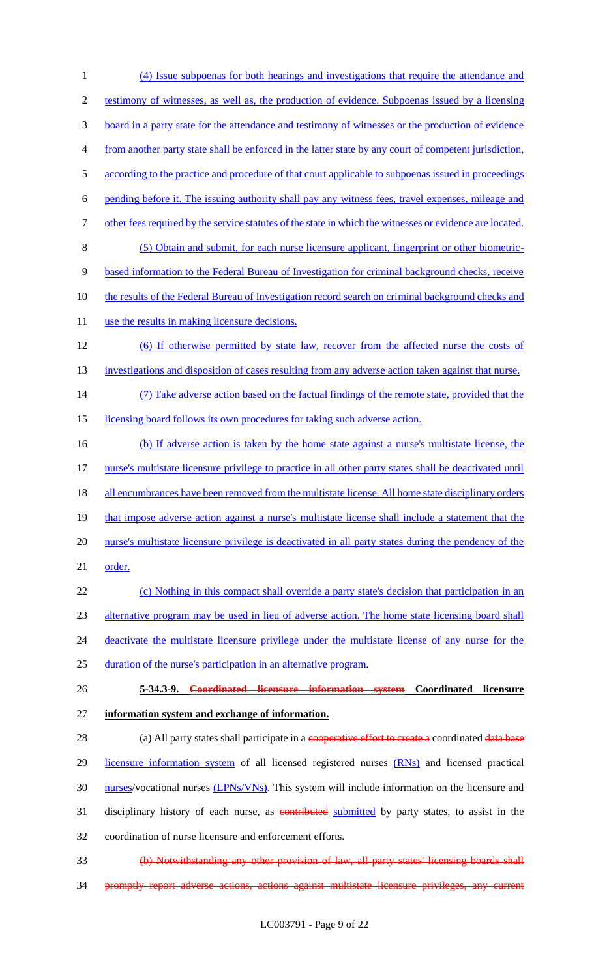1 (4) Issue subpoenas for both hearings and investigations that require the attendance and 2 testimony of witnesses, as well as, the production of evidence. Subpoenas issued by a licensing 3 board in a party state for the attendance and testimony of witnesses or the production of evidence 4 from another party state shall be enforced in the latter state by any court of competent jurisdiction, 5 according to the practice and procedure of that court applicable to subpoenas issued in proceedings 6 pending before it. The issuing authority shall pay any witness fees, travel expenses, mileage and 7 other fees required by the service statutes of the state in which the witnesses or evidence are located. 8 (5) Obtain and submit, for each nurse licensure applicant, fingerprint or other biometric-9 based information to the Federal Bureau of Investigation for criminal background checks, receive 10 the results of the Federal Bureau of Investigation record search on criminal background checks and 11 use the results in making licensure decisions. 12 (6) If otherwise permitted by state law, recover from the affected nurse the costs of 13 investigations and disposition of cases resulting from any adverse action taken against that nurse. 14 (7) Take adverse action based on the factual findings of the remote state, provided that the 15 licensing board follows its own procedures for taking such adverse action. 16 (b) If adverse action is taken by the home state against a nurse's multistate license, the 17 nurse's multistate licensure privilege to practice in all other party states shall be deactivated until 18 all encumbrances have been removed from the multistate license. All home state disciplinary orders 19 that impose adverse action against a nurse's multistate license shall include a statement that the 20 nurse's multistate licensure privilege is deactivated in all party states during the pendency of the 21 order. 22 (c) Nothing in this compact shall override a party state's decision that participation in an 23 alternative program may be used in lieu of adverse action. The home state licensing board shall 24 deactivate the multistate licensure privilege under the multistate license of any nurse for the 25 duration of the nurse's participation in an alternative program. 26 **5-34.3-9. Coordinated licensure information system Coordinated licensure**  27 **information system and exchange of information.** 28 (a) All party states shall participate in a cooperative effort to create a coordinated data base 29 licensure information system of all licensed registered nurses (RNs) and licensed practical 30 nurses/vocational nurses (LPNs/VNs). This system will include information on the licensure and 31 disciplinary history of each nurse, as contributed submitted by party states, to assist in the 32 coordination of nurse licensure and enforcement efforts. 33 (b) Notwithstanding any other provision of law, all party states' licensing boards shall 34 promptly report adverse actions, actions against multistate licensure privileges, any current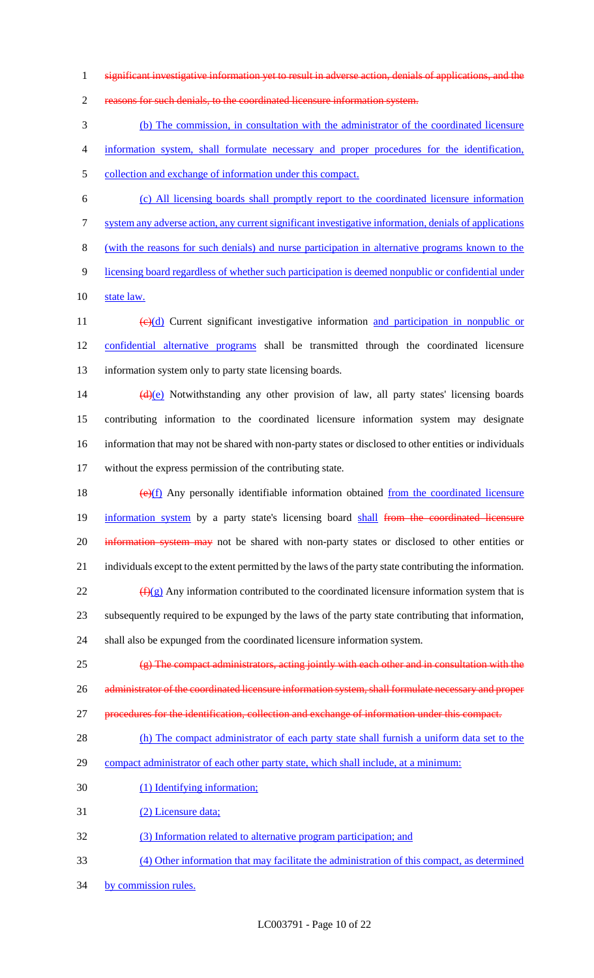significant investigative information yet to result in adverse action, denials of applications, and the

reasons for such denials, to the coordinated licensure information system.

 (b) The commission, in consultation with the administrator of the coordinated licensure information system, shall formulate necessary and proper procedures for the identification,

collection and exchange of information under this compact.

- (c) All licensing boards shall promptly report to the coordinated licensure information
- system any adverse action, any current significant investigative information, denials of applications

(with the reasons for such denials) and nurse participation in alternative programs known to the

- licensing board regardless of whether such participation is deemed nonpublic or confidential under
- state law.

11 (e)(d) Current significant investigative information and participation in nonpublic or confidential alternative programs shall be transmitted through the coordinated licensure information system only to party state licensing boards.

 $(d)(e)$  Notwithstanding any other provision of law, all party states' licensing boards contributing information to the coordinated licensure information system may designate information that may not be shared with non-party states or disclosed to other entities or individuals without the express permission of the contributing state.

18  $(e)(f)$  Any personally identifiable information obtained from the coordinated licensure 19 information system by a party state's licensing board shall from the coordinated licensure 20 information system may not be shared with non-party states or disclosed to other entities or individuals except to the extent permitted by the laws of the party state contributing the information.  $\frac{f(x)}{g(x)}$  Any information contributed to the coordinated licensure information system that is subsequently required to be expunged by the laws of the party state contributing that information,

shall also be expunged from the coordinated licensure information system.

 $\left(\frac{1}{2}\right)$  The compact administrators, acting jointly with each other and in consultation with the 26 administrator of the coordinated licensure information system, shall formulate necessary and proper procedures for the identification, collection and exchange of information under this compact.

28 (h) The compact administrator of each party state shall furnish a uniform data set to the

- compact administrator of each other party state, which shall include, at a minimum:
- (1) Identifying information;
- (2) Licensure data;
- (3) Information related to alternative program participation; and
- (4) Other information that may facilitate the administration of this compact, as determined
- 34 by commission rules.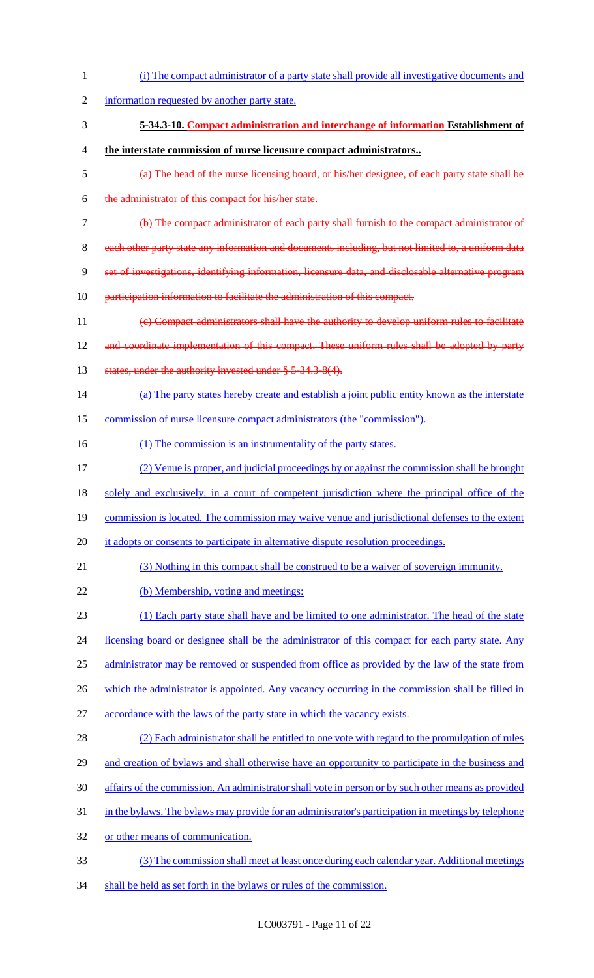(i) The compact administrator of a party state shall provide all investigative documents and information requested by another party state. **5-34.3-10. Compact administration and interchange of information Establishment of the interstate commission of nurse licensure compact administrators..** (a) The head of the nurse licensing board, or his/her designee, of each party state shall be the administrator of this compact for his/her state. (b) The compact administrator of each party shall furnish to the compact administrator of 8 each other party state any information and documents including, but not limited to, a uniform data set of investigations, identifying information, licensure data, and disclosable alternative program participation information to facilitate the administration of this compact. (c) Compact administrators shall have the authority to develop uniform rules to facilitate 12 and coordinate implementation of this compact. These uniform rules shall be adopted by party 13 states, under the authority invested under § 5-34.3-8(4). (a) The party states hereby create and establish a joint public entity known as the interstate commission of nurse licensure compact administrators (the "commission"). 16 (1) The commission is an instrumentality of the party states. (2) Venue is proper, and judicial proceedings by or against the commission shall be brought solely and exclusively, in a court of competent jurisdiction where the principal office of the 19 commission is located. The commission may waive venue and jurisdictional defenses to the extent 20 it adopts or consents to participate in alternative dispute resolution proceedings. (3) Nothing in this compact shall be construed to be a waiver of sovereign immunity. (b) Membership, voting and meetings: (1) Each party state shall have and be limited to one administrator. The head of the state 24 licensing board or designee shall be the administrator of this compact for each party state. Any administrator may be removed or suspended from office as provided by the law of the state from 26 which the administrator is appointed. Any vacancy occurring in the commission shall be filled in accordance with the laws of the party state in which the vacancy exists. (2) Each administrator shall be entitled to one vote with regard to the promulgation of rules and creation of bylaws and shall otherwise have an opportunity to participate in the business and affairs of the commission. An administrator shall vote in person or by such other means as provided in the bylaws. The bylaws may provide for an administrator's participation in meetings by telephone or other means of communication. (3) The commission shall meet at least once during each calendar year. Additional meetings 34 shall be held as set forth in the bylaws or rules of the commission.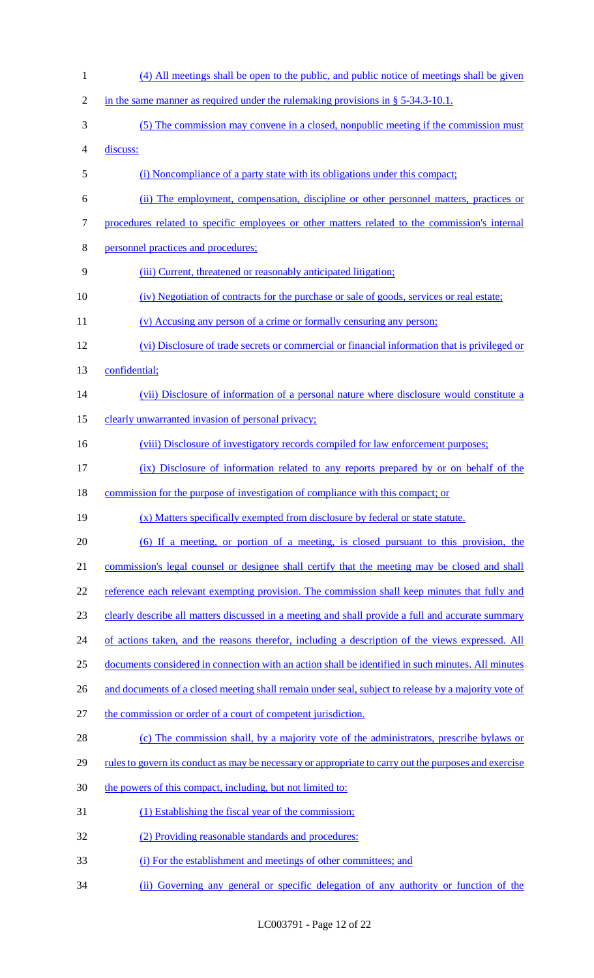(4) All meetings shall be open to the public, and public notice of meetings shall be given 2 in the same manner as required under the rulemaking provisions in  $\S$  5-34.3-10.1. (5) The commission may convene in a closed, nonpublic meeting if the commission must discuss: (i) Noncompliance of a party state with its obligations under this compact; (ii) The employment, compensation, discipline or other personnel matters, practices or procedures related to specific employees or other matters related to the commission's internal personnel practices and procedures; (iii) Current, threatened or reasonably anticipated litigation; (iv) Negotiation of contracts for the purchase or sale of goods, services or real estate; (v) Accusing any person of a crime or formally censuring any person; (vi) Disclosure of trade secrets or commercial or financial information that is privileged or confidential; (vii) Disclosure of information of a personal nature where disclosure would constitute a 15 clearly unwarranted invasion of personal privacy; 16 (viii) Disclosure of investigatory records compiled for law enforcement purposes; (ix) Disclosure of information related to any reports prepared by or on behalf of the commission for the purpose of investigation of compliance with this compact; or (x) Matters specifically exempted from disclosure by federal or state statute. (6) If a meeting, or portion of a meeting, is closed pursuant to this provision, the 21 commission's legal counsel or designee shall certify that the meeting may be closed and shall 22 reference each relevant exempting provision. The commission shall keep minutes that fully and 23 clearly describe all matters discussed in a meeting and shall provide a full and accurate summary 24 of actions taken, and the reasons therefor, including a description of the views expressed. All documents considered in connection with an action shall be identified in such minutes. All minutes 26 and documents of a closed meeting shall remain under seal, subject to release by a majority vote of the commission or order of a court of competent jurisdiction. (c) The commission shall, by a majority vote of the administrators, prescribe bylaws or 29 rules to govern its conduct as may be necessary or appropriate to carry out the purposes and exercise 30 the powers of this compact, including, but not limited to: (1) Establishing the fiscal year of the commission; (2) Providing reasonable standards and procedures: (i) For the establishment and meetings of other committees; and (ii) Governing any general or specific delegation of any authority or function of the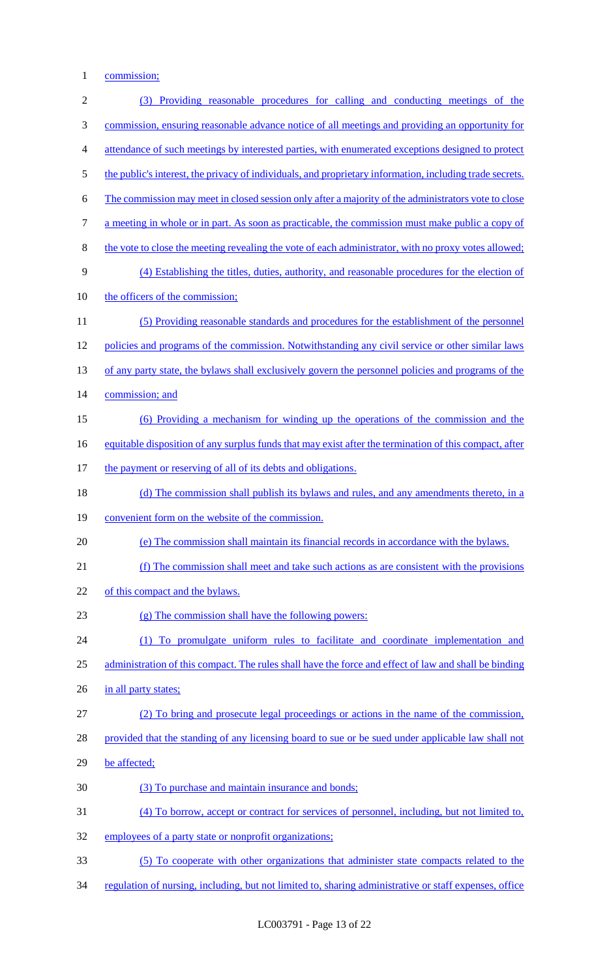commission;

| $\sqrt{2}$     | (3) Providing reasonable procedures for calling and conducting meetings of the                           |
|----------------|----------------------------------------------------------------------------------------------------------|
| 3              | commission, ensuring reasonable advance notice of all meetings and providing an opportunity for          |
| $\overline{4}$ | attendance of such meetings by interested parties, with enumerated exceptions designed to protect        |
| $\mathfrak{S}$ | the public's interest, the privacy of individuals, and proprietary information, including trade secrets. |
| 6              | The commission may meet in closed session only after a majority of the administrators vote to close      |
| $\tau$         | a meeting in whole or in part. As soon as practicable, the commission must make public a copy of         |
| 8              | the vote to close the meeting revealing the vote of each administrator, with no proxy votes allowed;     |
| 9              | (4) Establishing the titles, duties, authority, and reasonable procedures for the election of            |
| 10             | the officers of the commission;                                                                          |
| 11             | (5) Providing reasonable standards and procedures for the establishment of the personnel                 |
| 12             | policies and programs of the commission. Notwithstanding any civil service or other similar laws         |
| 13             | of any party state, the bylaws shall exclusively govern the personnel policies and programs of the       |
| 14             | commission; and                                                                                          |
| 15             | (6) Providing a mechanism for winding up the operations of the commission and the                        |
| 16             | equitable disposition of any surplus funds that may exist after the termination of this compact, after   |
| 17             | the payment or reserving of all of its debts and obligations.                                            |
| 18             | (d) The commission shall publish its bylaws and rules, and any amendments thereto, in a                  |
| 19             | convenient form on the website of the commission.                                                        |
| 20             | (e) The commission shall maintain its financial records in accordance with the bylaws.                   |
| 21             | (f) The commission shall meet and take such actions as are consistent with the provisions                |
| 22             | of this compact and the bylaws.                                                                          |
| 23             | (g) The commission shall have the following powers:                                                      |
| 24             | (1) To promulgate uniform rules to facilitate and coordinate implementation and                          |
| 25             | administration of this compact. The rules shall have the force and effect of law and shall be binding    |
| 26             | in all party states;                                                                                     |
| 27             | (2) To bring and prosecute legal proceedings or actions in the name of the commission,                   |
| 28             | provided that the standing of any licensing board to sue or be sued under applicable law shall not       |
| 29             | be affected;                                                                                             |
| 30             | (3) To purchase and maintain insurance and bonds;                                                        |
| 31             | (4) To borrow, accept or contract for services of personnel, including, but not limited to,              |
| 32             | employees of a party state or nonprofit organizations;                                                   |
| 33             | (5) To cooperate with other organizations that administer state compacts related to the                  |
| 34             | regulation of nursing, including, but not limited to, sharing administrative or staff expenses, office   |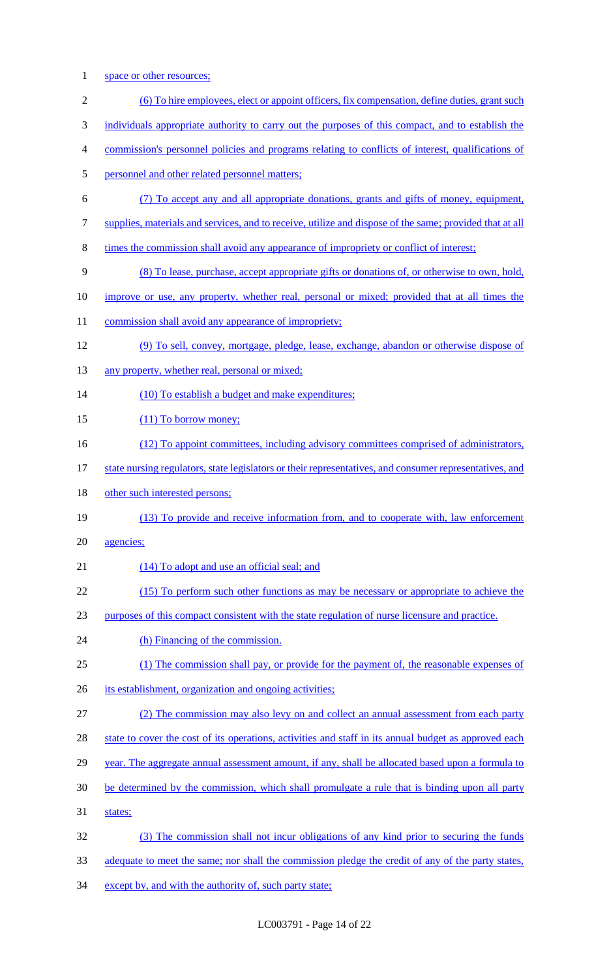1 space or other resources;

| $\sqrt{2}$     | (6) To hire employees, elect or appoint officers, fix compensation, define duties, grant such           |
|----------------|---------------------------------------------------------------------------------------------------------|
| 3              | individuals appropriate authority to carry out the purposes of this compact, and to establish the       |
| $\overline{4}$ | commission's personnel policies and programs relating to conflicts of interest, qualifications of       |
| 5              | personnel and other related personnel matters;                                                          |
| 6              | (7) To accept any and all appropriate donations, grants and gifts of money, equipment,                  |
| 7              | supplies, materials and services, and to receive, utilize and dispose of the same; provided that at all |
| 8              | times the commission shall avoid any appearance of impropriety or conflict of interest;                 |
| 9              | (8) To lease, purchase, accept appropriate gifts or donations of, or otherwise to own, hold,            |
| 10             | improve or use, any property, whether real, personal or mixed; provided that at all times the           |
| 11             | commission shall avoid any appearance of impropriety;                                                   |
| 12             | (9) To sell, convey, mortgage, pledge, lease, exchange, abandon or otherwise dispose of                 |
| 13             | any property, whether real, personal or mixed;                                                          |
| 14             | (10) To establish a budget and make expenditures;                                                       |
| 15             | $(11)$ To borrow money;                                                                                 |
| 16             | (12) To appoint committees, including advisory committees comprised of administrators,                  |
| 17             | state nursing regulators, state legislators or their representatives, and consumer representatives, and |
| 18             | other such interested persons;                                                                          |
| 19             | (13) To provide and receive information from, and to cooperate with, law enforcement                    |
| 20             | agencies;                                                                                               |
| 21             | (14) To adopt and use an official seal; and                                                             |
| 22             | (15) To perform such other functions as may be necessary or appropriate to achieve the                  |
| 23             | purposes of this compact consistent with the state regulation of nurse licensure and practice.          |
| 24             | (h) Financing of the commission.                                                                        |
| 25             | (1) The commission shall pay, or provide for the payment of, the reasonable expenses of                 |
| 26             | its establishment, organization and ongoing activities;                                                 |
| 27             | (2) The commission may also levy on and collect an annual assessment from each party                    |
| 28             | state to cover the cost of its operations, activities and staff in its annual budget as approved each   |
| 29             | year. The aggregate annual assessment amount, if any, shall be allocated based upon a formula to        |
| 30             | be determined by the commission, which shall promulgate a rule that is binding upon all party           |
| 31             | states;                                                                                                 |
| 32             | (3) The commission shall not incur obligations of any kind prior to securing the funds                  |
| 33             | adequate to meet the same; nor shall the commission pledge the credit of any of the party states,       |

34 except by, and with the authority of, such party state;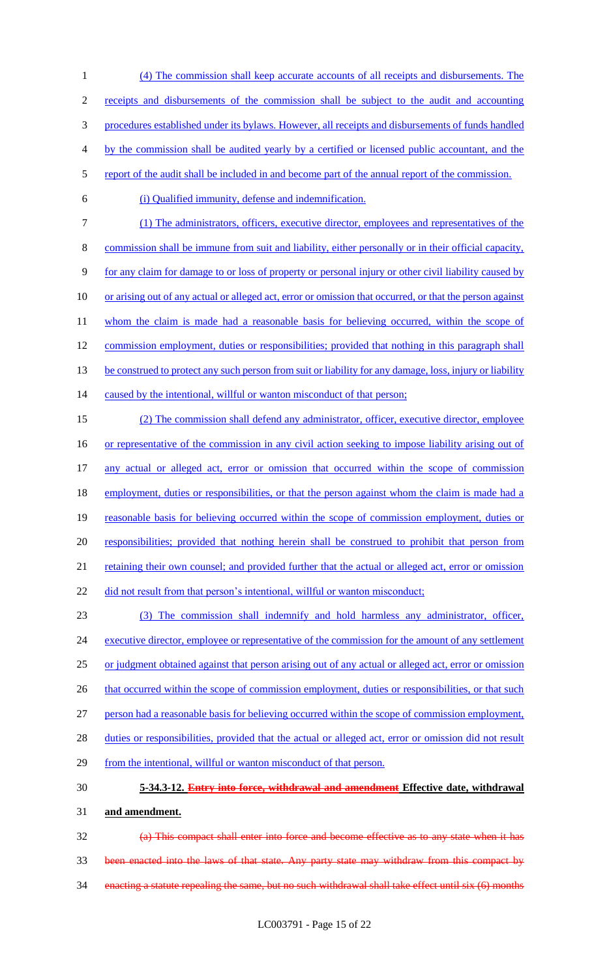(4) The commission shall keep accurate accounts of all receipts and disbursements. The receipts and disbursements of the commission shall be subject to the audit and accounting procedures established under its bylaws. However, all receipts and disbursements of funds handled by the commission shall be audited yearly by a certified or licensed public accountant, and the 5 report of the audit shall be included in and become part of the annual report of the commission. (i) Qualified immunity, defense and indemnification. (1) The administrators, officers, executive director, employees and representatives of the 8 commission shall be immune from suit and liability, either personally or in their official capacity, for any claim for damage to or loss of property or personal injury or other civil liability caused by 10 or arising out of any actual or alleged act, error or omission that occurred, or that the person against

11 whom the claim is made had a reasonable basis for believing occurred, within the scope of 12 commission employment, duties or responsibilities; provided that nothing in this paragraph shall 13 be construed to protect any such person from suit or liability for any damage, loss, injury or liability

14 caused by the intentional, willful or wanton misconduct of that person;

15 (2) The commission shall defend any administrator, officer, executive director, employee 16 or representative of the commission in any civil action seeking to impose liability arising out of 17 any actual or alleged act, error or omission that occurred within the scope of commission 18 employment, duties or responsibilities, or that the person against whom the claim is made had a 19 reasonable basis for believing occurred within the scope of commission employment, duties or 20 responsibilities; provided that nothing herein shall be construed to prohibit that person from 21 retaining their own counsel; and provided further that the actual or alleged act, error or omission 22 did not result from that person's intentional, willful or wanton misconduct;

23 (3) The commission shall indemnify and hold harmless any administrator, officer, 24 executive director, employee or representative of the commission for the amount of any settlement 25 or judgment obtained against that person arising out of any actual or alleged act, error or omission 26 that occurred within the scope of commission employment, duties or responsibilities, or that such 27 person had a reasonable basis for believing occurred within the scope of commission employment, 28 duties or responsibilities, provided that the actual or alleged act, error or omission did not result 29 from the intentional, willful or wanton misconduct of that person.

## 30 **5-34.3-12. Entry into force, withdrawal and amendment Effective date, withdrawal**

31 **and amendment.**

32 (a) This compact shall enter into force and become effective as to any state when it has 33 been enacted into the laws of that state. Any party state may withdraw from this compact by 34 enacting a statute repealing the same, but no such withdrawal shall take effect until six (6) months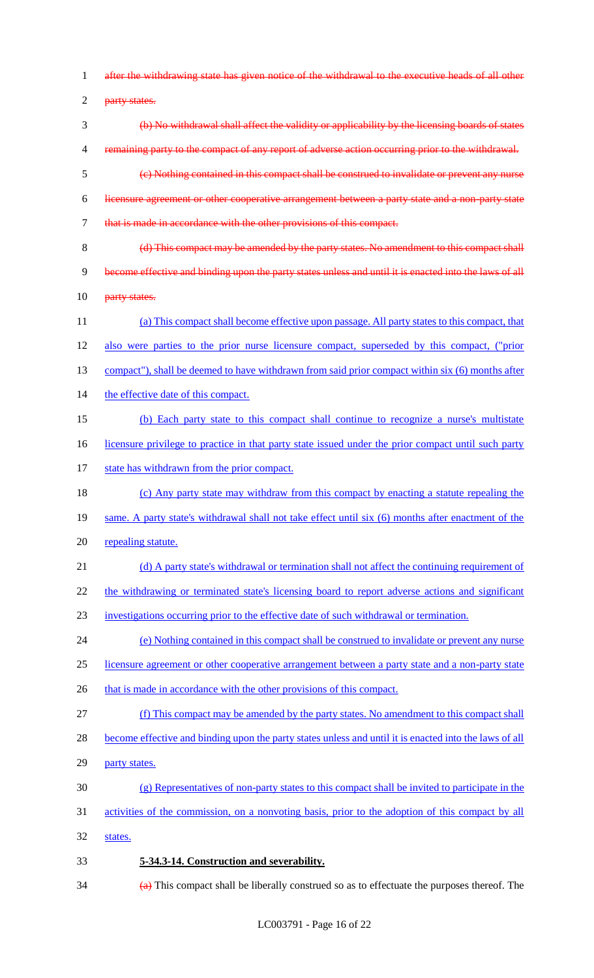after the withdrawing state has given notice of the withdrawal to the executive heads of all other 2 party states. (b) No withdrawal shall affect the validity or applicability by the licensing boards of states 4 remaining party to the compact of any report of adverse action occurring prior to the withdrawal. (c) Nothing contained in this compact shall be construed to invalidate or prevent any nurse licensure agreement or other cooperative arrangement between a party state and a non-party state that is made in accordance with the other provisions of this compact. (d) This compact may be amended by the party states. No amendment to this compact shall become effective and binding upon the party states unless and until it is enacted into the laws of all **party states.**  (a) This compact shall become effective upon passage. All party states to this compact, that also were parties to the prior nurse licensure compact, superseded by this compact, ("prior 13 compact"), shall be deemed to have withdrawn from said prior compact within six (6) months after 14 the effective date of this compact. (b) Each party state to this compact shall continue to recognize a nurse's multistate 16 licensure privilege to practice in that party state issued under the prior compact until such party 17 state has withdrawn from the prior compact. (c) Any party state may withdraw from this compact by enacting a statute repealing the 19 same. A party state's withdrawal shall not take effect until six (6) months after enactment of the repealing statute. 21 (d) A party state's withdrawal or termination shall not affect the continuing requirement of 22 the withdrawing or terminated state's licensing board to report adverse actions and significant investigations occurring prior to the effective date of such withdrawal or termination. (e) Nothing contained in this compact shall be construed to invalidate or prevent any nurse licensure agreement or other cooperative arrangement between a party state and a non-party state 26 that is made in accordance with the other provisions of this compact. (f) This compact may be amended by the party states. No amendment to this compact shall become effective and binding upon the party states unless and until it is enacted into the laws of all party states. (g) Representatives of non-party states to this compact shall be invited to participate in the activities of the commission, on a nonvoting basis, prior to the adoption of this compact by all states. **5-34.3-14. Construction and severability.**  $\left(\frac{a}{b}\right)$  This compact shall be liberally construed so as to effectuate the purposes thereof. The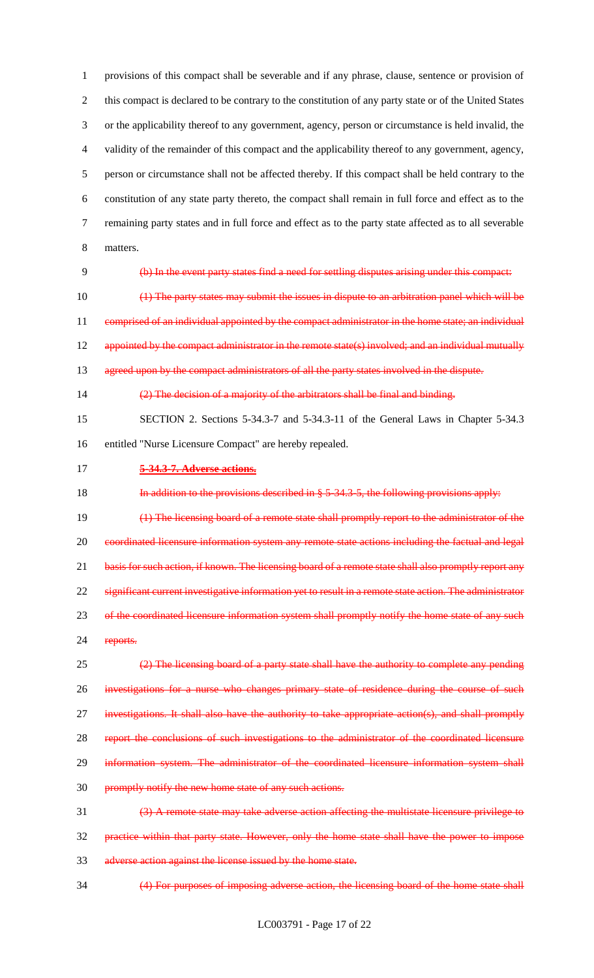provisions of this compact shall be severable and if any phrase, clause, sentence or provision of 2 this compact is declared to be contrary to the constitution of any party state or of the United States or the applicability thereof to any government, agency, person or circumstance is held invalid, the validity of the remainder of this compact and the applicability thereof to any government, agency, person or circumstance shall not be affected thereby. If this compact shall be held contrary to the constitution of any state party thereto, the compact shall remain in full force and effect as to the remaining party states and in full force and effect as to the party state affected as to all severable matters. (b) In the event party states find a need for settling disputes arising under this compact: (1) The party states may submit the issues in dispute to an arbitration panel which will be

11 comprised of an individual appointed by the compact administrator in the home state; an individual 12 appointed by the compact administrator in the remote state(s) involved; and an individual mutually 13 agreed upon by the compact administrators of all the party states involved in the dispute.

14  $\left(2\right)$  The decision of a majority of the arbitrators shall be final and binding.

 SECTION 2. Sections 5-34.3-7 and 5-34.3-11 of the General Laws in Chapter 5-34.3 entitled "Nurse Licensure Compact" are hereby repealed.

#### **5-34.3-7. Adverse actions.**

18 In addition to the provisions described in § 5-34.3-5, the following provisions apply:

 (1) The licensing board of a remote state shall promptly report to the administrator of the coordinated licensure information system any remote state actions including the factual and legal 21 basis for such action, if known. The licensing board of a remote state shall also promptly report any 22 significant current investigative information yet to result in a remote state action. The administrator 23 of the coordinated licensure information system shall promptly notify the home state of any such 24 reports.

 (2) The licensing board of a party state shall have the authority to complete any pending 26 investigations for a nurse who changes primary state of residence during the course of such investigations. It shall also have the authority to take appropriate action(s), and shall promptly report the conclusions of such investigations to the administrator of the coordinated licensure 29 information system. The administrator of the coordinated licensure information system shall promptly notify the new home state of any such actions. (3) A remote state may take adverse action affecting the multistate licensure privilege to

 practice within that party state. However, only the home state shall have the power to impose adverse action against the license issued by the home state.

(4) For purposes of imposing adverse action, the licensing board of the home state shall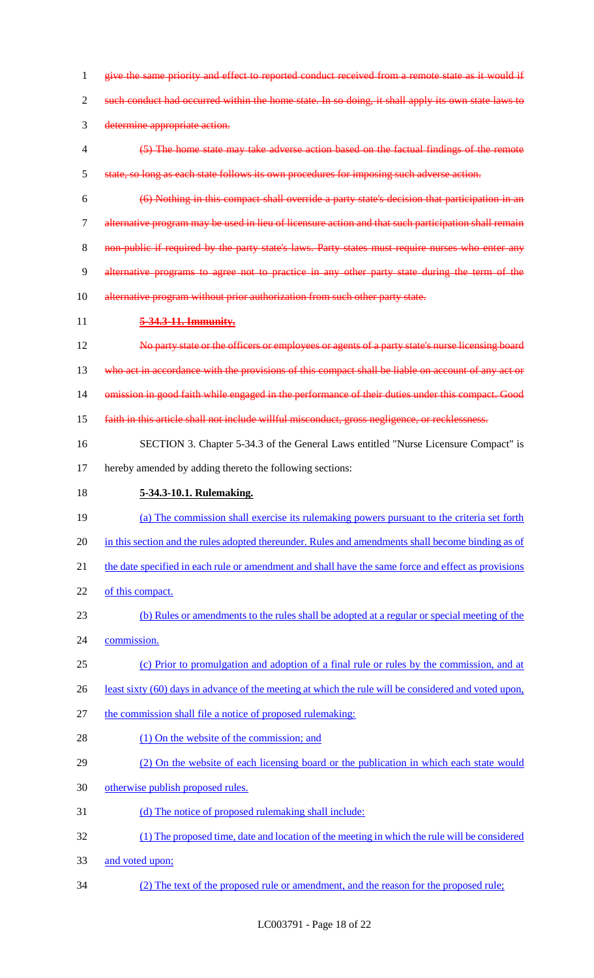give the same priority and effect to reported conduct received from a remote state as it would if 2 such conduct had occurred within the home state. In so doing, it shall apply its own state laws to determine appropriate action. (5) The home state may take adverse action based on the factual findings of the remote state, so long as each state follows its own procedures for imposing such adverse action. (6) Nothing in this compact shall override a party state's decision that participation in an alternative program may be used in lieu of licensure action and that such participation shall remain 8 non-public if required by the party state's laws. Party states must require nurses who enter any alternative programs to agree not to practice in any other party state during the term of the 10 alternative program without prior authorization from such other party state. **5-34.3-11. Immunity.** No party state or the officers or employees or agents of a party state's nurse licensing board 13 who act in accordance with the provisions of this compact shall be liable on account of any act or omission in good faith while engaged in the performance of their duties under this compact. Good faith in this article shall not include willful misconduct, gross negligence, or recklessness. SECTION 3. Chapter 5-34.3 of the General Laws entitled "Nurse Licensure Compact" is hereby amended by adding thereto the following sections: **5-34.3-10.1. Rulemaking.**  (a) The commission shall exercise its rulemaking powers pursuant to the criteria set forth in this section and the rules adopted thereunder. Rules and amendments shall become binding as of the date specified in each rule or amendment and shall have the same force and effect as provisions of this compact. (b) Rules or amendments to the rules shall be adopted at a regular or special meeting of the commission. (c) Prior to promulgation and adoption of a final rule or rules by the commission, and at least sixty (60) days in advance of the meeting at which the rule will be considered and voted upon, the commission shall file a notice of proposed rulemaking: 28 (1) On the website of the commission; and (2) On the website of each licensing board or the publication in which each state would otherwise publish proposed rules. (d) The notice of proposed rulemaking shall include: (1) The proposed time, date and location of the meeting in which the rule will be considered and voted upon; (2) The text of the proposed rule or amendment, and the reason for the proposed rule;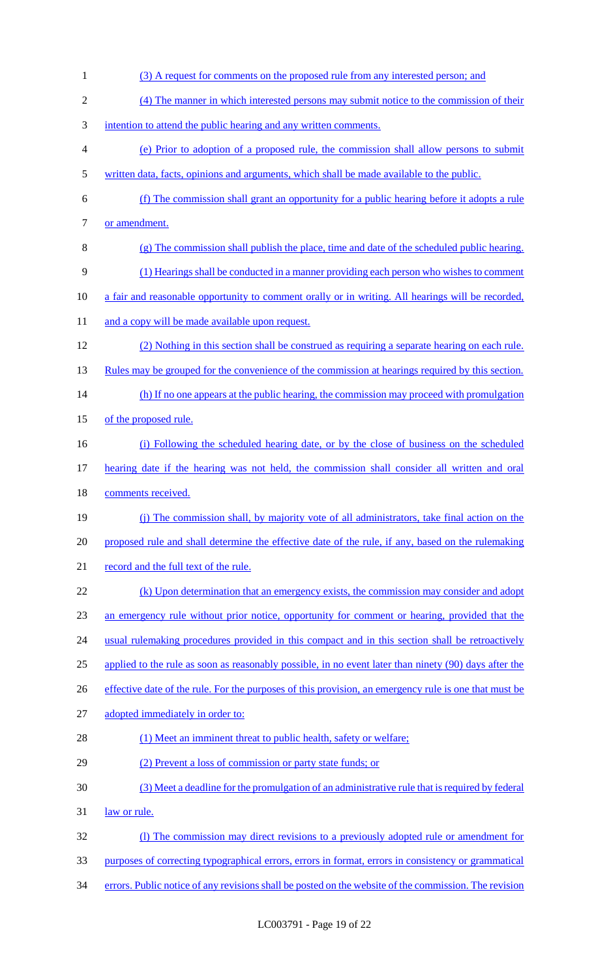1 (3) A request for comments on the proposed rule from any interested person; and (4) The manner in which interested persons may submit notice to the commission of their intention to attend the public hearing and any written comments. (e) Prior to adoption of a proposed rule, the commission shall allow persons to submit written data, facts, opinions and arguments, which shall be made available to the public. (f) The commission shall grant an opportunity for a public hearing before it adopts a rule 7 or amendment. (g) The commission shall publish the place, time and date of the scheduled public hearing. (1) Hearings shall be conducted in a manner providing each person who wishes to comment 10 a fair and reasonable opportunity to comment orally or in writing. All hearings will be recorded, 11 and a copy will be made available upon request. (2) Nothing in this section shall be construed as requiring a separate hearing on each rule. 13 Rules may be grouped for the convenience of the commission at hearings required by this section. 14 (h) If no one appears at the public hearing, the commission may proceed with promulgation of the proposed rule. (i) Following the scheduled hearing date, or by the close of business on the scheduled hearing date if the hearing was not held, the commission shall consider all written and oral comments received. (j) The commission shall, by majority vote of all administrators, take final action on the 20 proposed rule and shall determine the effective date of the rule, if any, based on the rulemaking record and the full text of the rule. (k) Upon determination that an emergency exists, the commission may consider and adopt an emergency rule without prior notice, opportunity for comment or hearing, provided that the 24 usual rulemaking procedures provided in this compact and in this section shall be retroactively applied to the rule as soon as reasonably possible, in no event later than ninety (90) days after the 26 effective date of the rule. For the purposes of this provision, an emergency rule is one that must be adopted immediately in order to: 28 (1) Meet an imminent threat to public health, safety or welfare; (2) Prevent a loss of commission or party state funds; or (3) Meet a deadline for the promulgation of an administrative rule that is required by federal law or rule. (l) The commission may direct revisions to a previously adopted rule or amendment for purposes of correcting typographical errors, errors in format, errors in consistency or grammatical errors. Public notice of any revisions shall be posted on the website of the commission. The revision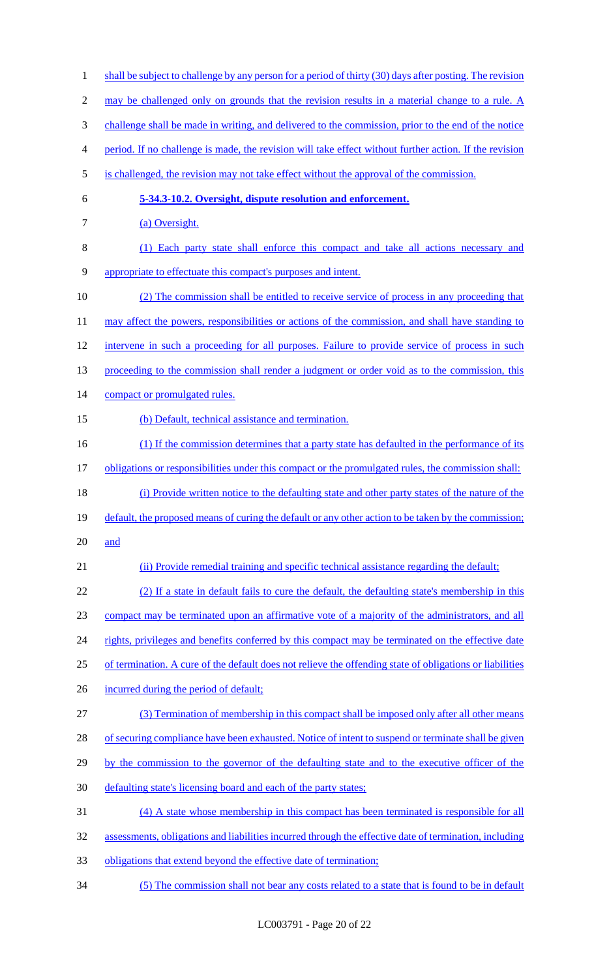2 may be challenged only on grounds that the revision results in a material change to a rule. A 3 challenge shall be made in writing, and delivered to the commission, prior to the end of the notice 4 period. If no challenge is made, the revision will take effect without further action. If the revision 5 is challenged, the revision may not take effect without the approval of the commission. 6 **5-34.3-10.2. Oversight, dispute resolution and enforcement.**  7 (a) Oversight. 8 (1) Each party state shall enforce this compact and take all actions necessary and 9 appropriate to effectuate this compact's purposes and intent. 10 (2) The commission shall be entitled to receive service of process in any proceeding that 11 may affect the powers, responsibilities or actions of the commission, and shall have standing to 12 intervene in such a proceeding for all purposes. Failure to provide service of process in such 13 proceeding to the commission shall render a judgment or order void as to the commission, this 14 compact or promulgated rules. 15 (b) Default, technical assistance and termination. 16 (1) If the commission determines that a party state has defaulted in the performance of its 17 obligations or responsibilities under this compact or the promulgated rules, the commission shall: 18 (i) Provide written notice to the defaulting state and other party states of the nature of the 19 default, the proposed means of curing the default or any other action to be taken by the commission; 20 and 21 (ii) Provide remedial training and specific technical assistance regarding the default; 22 (2) If a state in default fails to cure the default, the defaulting state's membership in this 23 compact may be terminated upon an affirmative vote of a majority of the administrators, and all 24 rights, privileges and benefits conferred by this compact may be terminated on the effective date 25 of termination. A cure of the default does not relieve the offending state of obligations or liabilities 26 incurred during the period of default; 27 (3) Termination of membership in this compact shall be imposed only after all other means 28 of securing compliance have been exhausted. Notice of intent to suspend or terminate shall be given 29 by the commission to the governor of the defaulting state and to the executive officer of the 30 defaulting state's licensing board and each of the party states; 31 (4) A state whose membership in this compact has been terminated is responsible for all 32 assessments, obligations and liabilities incurred through the effective date of termination, including 33 obligations that extend beyond the effective date of termination; 34 (5) The commission shall not bear any costs related to a state that is found to be in default

1 shall be subject to challenge by any person for a period of thirty (30) days after posting. The revision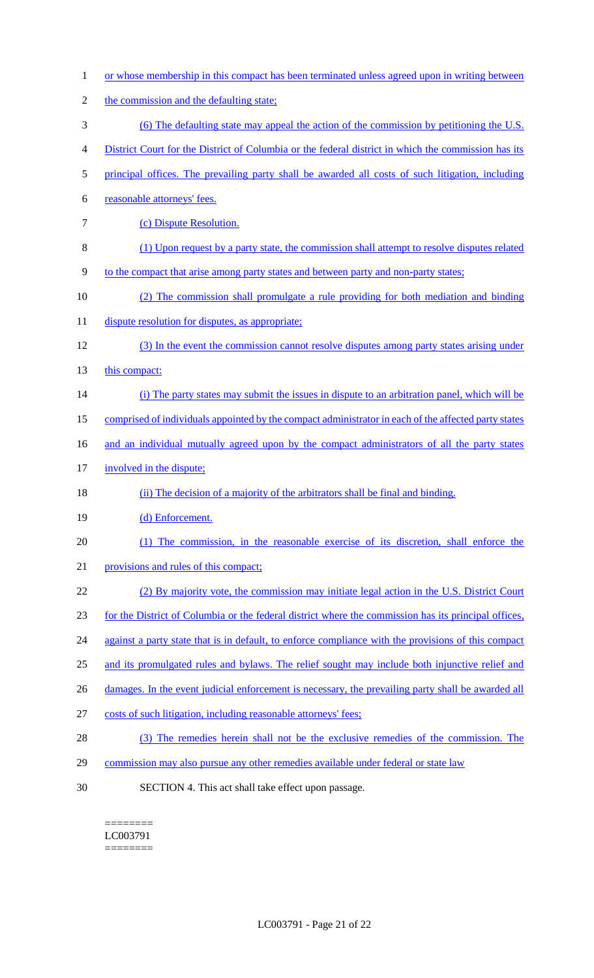- 1 or whose membership in this compact has been terminated unless agreed upon in writing between
- 2 the commission and the defaulting state;
- 3 (6) The defaulting state may appeal the action of the commission by petitioning the U.S.
- 4 District Court for the District of Columbia or the federal district in which the commission has its
- 5 principal offices. The prevailing party shall be awarded all costs of such litigation, including
- 6 reasonable attorneys' fees.
- 7 (c) Dispute Resolution.
- 8 (1) Upon request by a party state, the commission shall attempt to resolve disputes related
- 9 to the compact that arise among party states and between party and non-party states;
- 10 (2) The commission shall promulgate a rule providing for both mediation and binding
- 11 dispute resolution for disputes, as appropriate;
- 12 (3) In the event the commission cannot resolve disputes among party states arising under
- 13 this compact:
- 14 (i) The party states may submit the issues in dispute to an arbitration panel, which will be
- 15 comprised of individuals appointed by the compact administrator in each of the affected party states
- 16 and an individual mutually agreed upon by the compact administrators of all the party states
- 17 involved in the dispute;
- 18 (ii) The decision of a majority of the arbitrators shall be final and binding.
- 19 (d) Enforcement.
- 20 (1) The commission, in the reasonable exercise of its discretion, shall enforce the
- 21 provisions and rules of this compact;
- 22 (2) By majority vote, the commission may initiate legal action in the U.S. District Court
- 23 for the District of Columbia or the federal district where the commission has its principal offices,
- 24 against a party state that is in default, to enforce compliance with the provisions of this compact
- 25 and its promulgated rules and bylaws. The relief sought may include both injunctive relief and
- 26 damages. In the event judicial enforcement is necessary, the prevailing party shall be awarded all
- 27 costs of such litigation, including reasonable attorneys' fees;
- 28 (3) The remedies herein shall not be the exclusive remedies of the commission. The
- 29 commission may also pursue any other remedies available under federal or state law
- 30 SECTION 4. This act shall take effect upon passage.

======== LC003791 ========